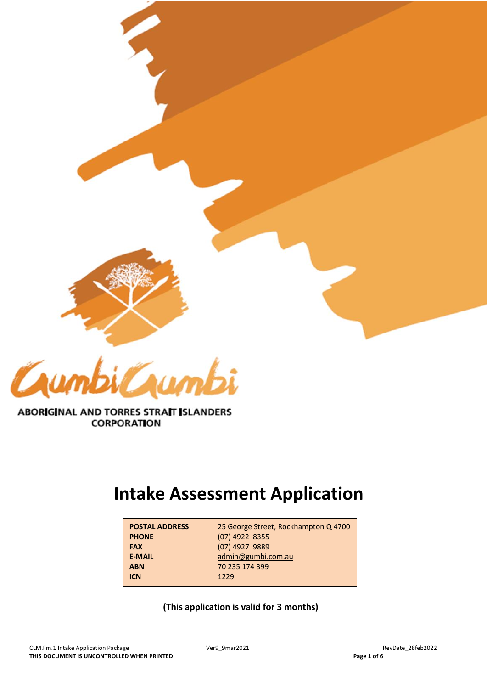



# ABORIGINAL AND TORRES STRAIT ISLANDERS **CORPORATION**

# **Intake Assessment Application**

| <b>POSTAL ADDRESS</b> | 25 George Street, Rockhampton Q 4700 |
|-----------------------|--------------------------------------|
| <b>PHONE</b>          | $(07)$ 4922 8355                     |
| <b>FAX</b>            | (07) 4927 9889                       |
| <b>E-MAIL</b>         | admin@gumbi.com.au                   |
| <b>ABN</b>            | 70 235 174 399                       |
| <b>ICN</b>            | 1229                                 |

**(This application is valid for 3 months)**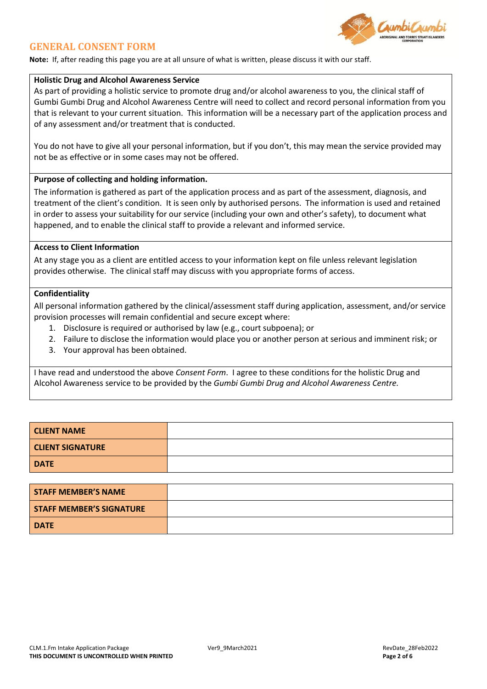

## **GENERAL CONSENT FORM**

**Note:** If, after reading this page you are at all unsure of what is written, please discuss it with our staff.

### **Holistic Drug and Alcohol Awareness Service**

As part of providing a holistic service to promote drug and/or alcohol awareness to you, the clinical staff of Gumbi Gumbi Drug and Alcohol Awareness Centre will need to collect and record personal information from you that is relevant to your current situation. This information will be a necessary part of the application process and of any assessment and/or treatment that is conducted.

You do not have to give all your personal information, but if you don't, this may mean the service provided may not be as effective or in some cases may not be offered.

### **Purpose of collecting and holding information.**

The information is gathered as part of the application process and as part of the assessment, diagnosis, and treatment of the client's condition. It is seen only by authorised persons. The information is used and retained in order to assess your suitability for our service (including your own and other's safety), to document what happened, and to enable the clinical staff to provide a relevant and informed service.

## **Access to Client Information**

At any stage you as a client are entitled access to your information kept on file unless relevant legislation provides otherwise. The clinical staff may discuss with you appropriate forms of access.

#### **Confidentiality**

All personal information gathered by the clinical/assessment staff during application, assessment, and/or service provision processes will remain confidential and secure except where:

- 1. Disclosure is required or authorised by law (e.g., court subpoena); or
- 2. Failure to disclose the information would place you or another person at serious and imminent risk; or
- 3. Your approval has been obtained.

I have read and understood the above *Consent Form*. I agree to these conditions for the holistic Drug and Alcohol Awareness service to be provided by the *Gumbi Gumbi Drug and Alcohol Awareness Centre.*

| <b>CLIENT NAME</b>      |  |
|-------------------------|--|
| <b>CLIENT SIGNATURE</b> |  |
| <b>DATE</b>             |  |

| <b>STAFF MEMBER'S NAME</b>      |  |
|---------------------------------|--|
| <b>STAFF MEMBER'S SIGNATURE</b> |  |
| <b>DATE</b>                     |  |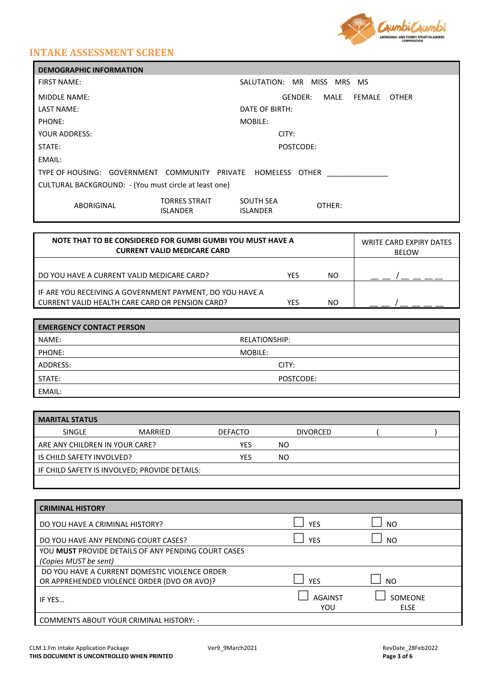

# **INTAKE ASSESSMENT SCREEN**

| <b>DEMOGRAPHIC INFORMATION</b>                               |                                                   |  |  |  |
|--------------------------------------------------------------|---------------------------------------------------|--|--|--|
| <b>FIRST NAME:</b>                                           | MR MISS<br>SALUTATION:<br><b>MRS</b><br><b>MS</b> |  |  |  |
| <b>MIDDLE NAME:</b>                                          | MALE<br>FEMALE<br>GENDER:<br><b>OTHER</b>         |  |  |  |
| LAST NAME:                                                   | DATE OF BIRTH:                                    |  |  |  |
| PHONE:                                                       | MOBILE:                                           |  |  |  |
| YOUR ADDRESS:                                                | CITY:                                             |  |  |  |
| STATE:                                                       | POSTCODE:                                         |  |  |  |
| EMAIL:                                                       |                                                   |  |  |  |
| TYPE OF HOUSING: GOVERNMENT COMMUNITY PRIVATE HOMELESS OTHER |                                                   |  |  |  |
| CULTURAL BACKGROUND: - (You must circle at least one)        |                                                   |  |  |  |
| <b>TORRES STRAIT</b><br>ABORIGINAL<br><b>ISLANDER</b>        | <b>SOUTH SEA</b><br>OTHER:<br><b>ISLANDER</b>     |  |  |  |

| NOTE THAT TO BE CONSIDERED FOR GUMBI GUMBI YOU MUST HAVE A<br><b>CURRENT VALID MEDICARE CARD</b>              |     |     | <b>WRITE CARD EXPIRY DATES</b><br><b>BELOW</b> |
|---------------------------------------------------------------------------------------------------------------|-----|-----|------------------------------------------------|
| DO YOU HAVE A CURRENT VALID MEDICARE CARD?                                                                    | YES | NO. |                                                |
| I IF ARE YOU RECEIVING A GOVERNMENT PAYMENT, DO YOU HAVE A<br>CURRENT VALID HEALTH CARE CARD OR PENSION CARD? | YES | NO. |                                                |

| <b>EMERGENCY CONTACT PERSON</b> |               |  |
|---------------------------------|---------------|--|
| NAME:                           | RELATIONSHIP: |  |
| PHONE:                          | MOBILE:       |  |
| ADDRESS:                        | CITY:         |  |
| STATE:                          | POSTCODE:     |  |
| EMAIL:                          |               |  |

| <b>MARITAL STATUS</b>          |                                               |                |                 |  |
|--------------------------------|-----------------------------------------------|----------------|-----------------|--|
| SINGLE                         | <b>MARRIED</b>                                | <b>DEFACTO</b> | <b>DIVORCED</b> |  |
| ARE ANY CHILDREN IN YOUR CARE? |                                               | YES            | NO.             |  |
| IS CHILD SAFETY INVOLVED?      |                                               | YFS            | NO.             |  |
|                                | IF CHILD SAFETY IS INVOLVED; PROVIDE DETAILS: |                |                 |  |
|                                |                                               |                |                 |  |

| <b>CRIMINAL HISTORY</b>                             |                |                 |
|-----------------------------------------------------|----------------|-----------------|
| DO YOU HAVE A CRIMINAL HISTORY?                     | <b>YES</b>     | N <sub>O</sub>  |
| DO YOU HAVE ANY PENDING COURT CASES?                | <b>YES</b>     | NO.             |
| YOU MUST PROVIDE DETAILS OF ANY PENDING COURT CASES |                |                 |
| (Copies MUST be sent)                               |                |                 |
| DO YOU HAVE A CURRENT DOMESTIC VIOLENCE ORDER       |                |                 |
| OR APPREHENDED VIOLENCE ORDER (DVO OR AVO)?         | <b>YES</b>     | N <sub>O</sub>  |
| IF YES                                              | AGAINST<br>YOU | SOMEONE<br>ELSE |
| <b>COMMENTS ABOUT YOUR CRIMINAL HISTORY: -</b>      |                |                 |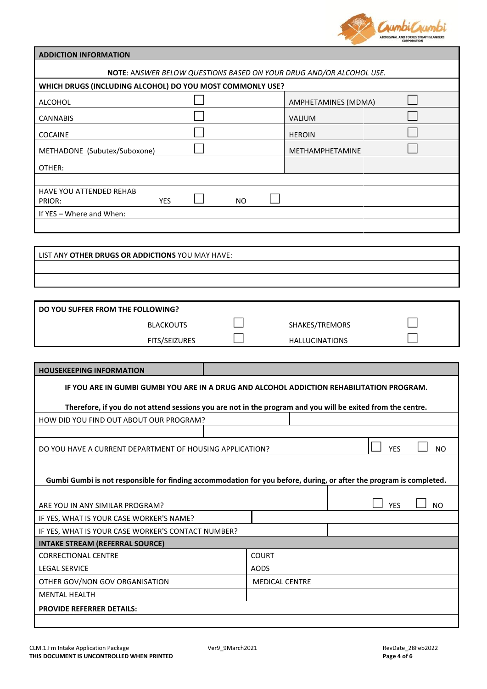

| <b>ADDICTION INFORMATION</b>                                                                                        |                         |  |  |  |
|---------------------------------------------------------------------------------------------------------------------|-------------------------|--|--|--|
| <b>NOTE: ANSWER BELOW QUESTIONS BASED ON YOUR DRUG AND/OR ALCOHOL USE.</b>                                          |                         |  |  |  |
| WHICH DRUGS (INCLUDING ALCOHOL) DO YOU MOST COMMONLY USE?                                                           |                         |  |  |  |
| <b>ALCOHOL</b>                                                                                                      | AMPHETAMINES (MDMA)     |  |  |  |
| <b>CANNABIS</b>                                                                                                     | VALIUM                  |  |  |  |
| <b>COCAINE</b>                                                                                                      | <b>HEROIN</b>           |  |  |  |
| METHADONE (Subutex/Suboxone)                                                                                        | METHAMPHETAMINE         |  |  |  |
| OTHER:                                                                                                              |                         |  |  |  |
|                                                                                                                     |                         |  |  |  |
| HAVE YOU ATTENDED REHAB                                                                                             |                         |  |  |  |
| <b>YES</b><br>PRIOR:<br><b>NO</b><br>If YES - Where and When:                                                       |                         |  |  |  |
|                                                                                                                     |                         |  |  |  |
|                                                                                                                     |                         |  |  |  |
| LIST ANY OTHER DRUGS OR ADDICTIONS YOU MAY HAVE:                                                                    |                         |  |  |  |
|                                                                                                                     |                         |  |  |  |
|                                                                                                                     |                         |  |  |  |
|                                                                                                                     |                         |  |  |  |
| DO YOU SUFFER FROM THE FOLLOWING?                                                                                   |                         |  |  |  |
| <b>BLACKOUTS</b>                                                                                                    | SHAKES/TREMORS          |  |  |  |
| FITS/SEIZURES                                                                                                       | <b>HALLUCINATIONS</b>   |  |  |  |
|                                                                                                                     |                         |  |  |  |
| <b>HOUSEKEEPING INFORMATION</b>                                                                                     |                         |  |  |  |
| IF YOU ARE IN GUMBI GUMBI YOU ARE IN A DRUG AND ALCOHOL ADDICTION REHABILITATION PROGRAM.                           |                         |  |  |  |
| Therefore, if you do not attend sessions you are not in the program and you will be exited from the centre.         |                         |  |  |  |
| HOW DID YOU FIND OUT ABOUT OUR PROGRAM?                                                                             |                         |  |  |  |
|                                                                                                                     |                         |  |  |  |
| DO YOU HAVE A CURRENT DEPARTMENT OF HOUSING APPLICATION?                                                            | <b>YES</b><br><b>NO</b> |  |  |  |
|                                                                                                                     |                         |  |  |  |
| Gumbi Gumbi is not responsible for finding accommodation for you before, during, or after the program is completed. |                         |  |  |  |
|                                                                                                                     |                         |  |  |  |
| ARE YOU IN ANY SIMILAR PROGRAM?                                                                                     | <b>YES</b><br><b>NO</b> |  |  |  |
| IF YES, WHAT IS YOUR CASE WORKER'S NAME?                                                                            |                         |  |  |  |
| IF YES, WHAT IS YOUR CASE WORKER'S CONTACT NUMBER?                                                                  |                         |  |  |  |
| <b>INTAKE STREAM (REFERRAL SOURCE)</b>                                                                              |                         |  |  |  |
| <b>CORRECTIONAL CENTRE</b>                                                                                          | <b>COURT</b>            |  |  |  |
| <b>LEGAL SERVICE</b>                                                                                                | <b>AODS</b>             |  |  |  |
| <b>MEDICAL CENTRE</b><br>OTHER GOV/NON GOV ORGANISATION                                                             |                         |  |  |  |
| <b>MENTAL HEALTH</b>                                                                                                |                         |  |  |  |
| PROVIDE REFERRER DETAILS:                                                                                           |                         |  |  |  |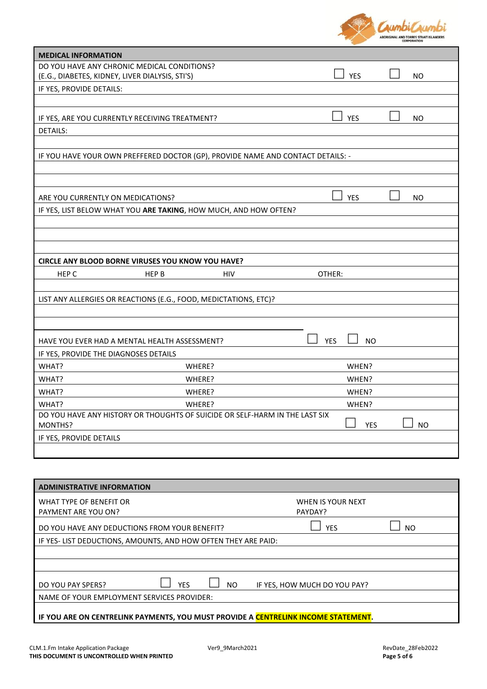

| <b>MEDICAL INFORMATION</b>                                                             |        |            |            |           |
|----------------------------------------------------------------------------------------|--------|------------|------------|-----------|
| DO YOU HAVE ANY CHRONIC MEDICAL CONDITIONS?                                            |        |            |            |           |
| (E.G., DIABETES, KIDNEY, LIVER DIALYSIS, STI'S)                                        |        |            | <b>YES</b> | <b>NO</b> |
| IF YES, PROVIDE DETAILS:                                                               |        |            |            |           |
|                                                                                        |        |            |            |           |
| IF YES, ARE YOU CURRENTLY RECEIVING TREATMENT?                                         |        |            | <b>YES</b> | NO.       |
| <b>DETAILS:</b>                                                                        |        |            |            |           |
|                                                                                        |        |            |            |           |
| IF YOU HAVE YOUR OWN PREFFERED DOCTOR (GP), PROVIDE NAME AND CONTACT DETAILS: -        |        |            |            |           |
|                                                                                        |        |            |            |           |
|                                                                                        |        |            |            |           |
| ARE YOU CURRENTLY ON MEDICATIONS?                                                      |        |            | <b>YES</b> | <b>NO</b> |
| IF YES, LIST BELOW WHAT YOU ARE TAKING, HOW MUCH, AND HOW OFTEN?                       |        |            |            |           |
|                                                                                        |        |            |            |           |
|                                                                                        |        |            |            |           |
|                                                                                        |        |            |            |           |
| CIRCLE ANY BLOOD BORNE VIRUSES YOU KNOW YOU HAVE?                                      |        |            |            |           |
| HEP C<br>HEP B                                                                         | HIV    | OTHER:     |            |           |
|                                                                                        |        |            |            |           |
| LIST ANY ALLERGIES OR REACTIONS (E.G., FOOD, MEDICTATIONS, ETC)?                       |        |            |            |           |
|                                                                                        |        |            |            |           |
|                                                                                        |        |            |            |           |
| HAVE YOU EVER HAD A MENTAL HEALTH ASSESSMENT?                                          |        | <b>YES</b> | NO.        |           |
| IF YES, PROVIDE THE DIAGNOSES DETAILS                                                  |        |            |            |           |
| WHAT?                                                                                  | WHERE? |            | WHEN?      |           |
| WHAT?                                                                                  | WHERE? |            | WHEN?      |           |
| WHAT?                                                                                  | WHERE? |            | WHEN?      |           |
| WHAT?                                                                                  | WHERE? |            | WHEN?      |           |
| DO YOU HAVE ANY HISTORY OR THOUGHTS OF SUICIDE OR SELF-HARM IN THE LAST SIX<br>MONTHS? |        |            | <b>YES</b> | <b>NO</b> |
| IF YES, PROVIDE DETAILS                                                                |        |            |            |           |
|                                                                                        |        |            |            |           |
|                                                                                        |        |            |            |           |

| <b>ADMINISTRATIVE INFORMATION</b>                                                  |                              |     |
|------------------------------------------------------------------------------------|------------------------------|-----|
| WHAT TYPE OF BENEFIT OR<br>PAYMENT ARE YOU ON?                                     | WHEN IS YOUR NEXT<br>PAYDAY? |     |
|                                                                                    |                              |     |
| DO YOU HAVE ANY DEDUCTIONS FROM YOUR BENEFIT?                                      | <b>YES</b>                   | NO. |
| IF YES-LIST DEDUCTIONS, AMOUNTS, AND HOW OFTEN THEY ARE PAID:                      |                              |     |
|                                                                                    |                              |     |
|                                                                                    |                              |     |
| <b>YES</b><br>DO YOU PAY SPERS?<br>NO.                                             | IF YES, HOW MUCH DO YOU PAY? |     |
| NAME OF YOUR EMPLOYMENT SERVICES PROVIDER:                                         |                              |     |
| IF YOU ARE ON CENTRELINK PAYMENTS, YOU MUST PROVIDE A CENTRELINK INCOME STATEMENT. |                              |     |